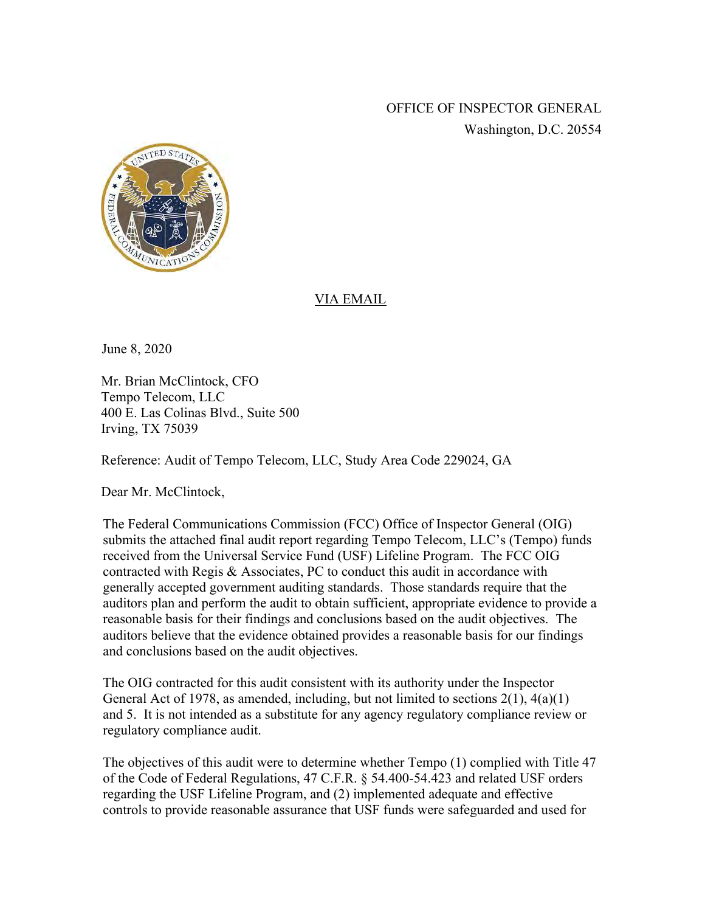OFFICE OF INSPECTOR GENERAL Washington, D.C. 20554



## VIA EMAIL

June 8, 2020

Mr. Brian McClintock, CFO Tempo Telecom, LLC 400 E. Las Colinas Blvd., Suite 500 Irving, TX 75039

Reference: Audit of Tempo Telecom, LLC, Study Area Code 229024, GA

Dear Mr. McClintock,

The Federal Communications Commission (FCC) Office of Inspector General (OIG) submits the attached final audit report regarding Tempo Telecom, LLC's (Tempo) funds received from the Universal Service Fund (USF) Lifeline Program. The FCC OIG contracted with Regis & Associates, PC to conduct this audit in accordance with generally accepted government auditing standards. Those standards require that the auditors plan and perform the audit to obtain sufficient, appropriate evidence to provide a reasonable basis for their findings and conclusions based on the audit objectives. The auditors believe that the evidence obtained provides a reasonable basis for our findings and conclusions based on the audit objectives.

The OIG contracted for this audit consistent with its authority under the Inspector General Act of 1978, as amended, including, but not limited to sections  $2(1)$ ,  $4(a)(1)$ and 5. It is not intended as a substitute for any agency regulatory compliance review or regulatory compliance audit.

The objectives of this audit were to determine whether Tempo (1) complied with Title 47 of the Code of Federal Regulations, 47 C.F.R. § 54.400-54.423 and related USF orders regarding the USF Lifeline Program, and (2) implemented adequate and effective controls to provide reasonable assurance that USF funds were safeguarded and used for